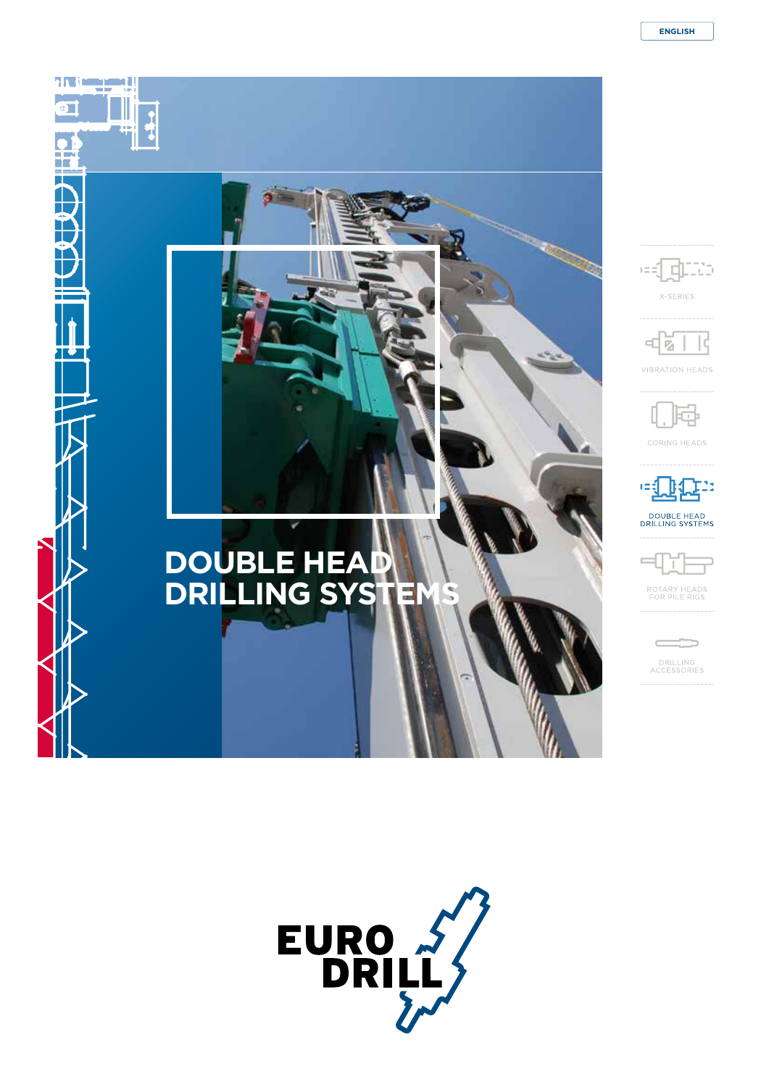

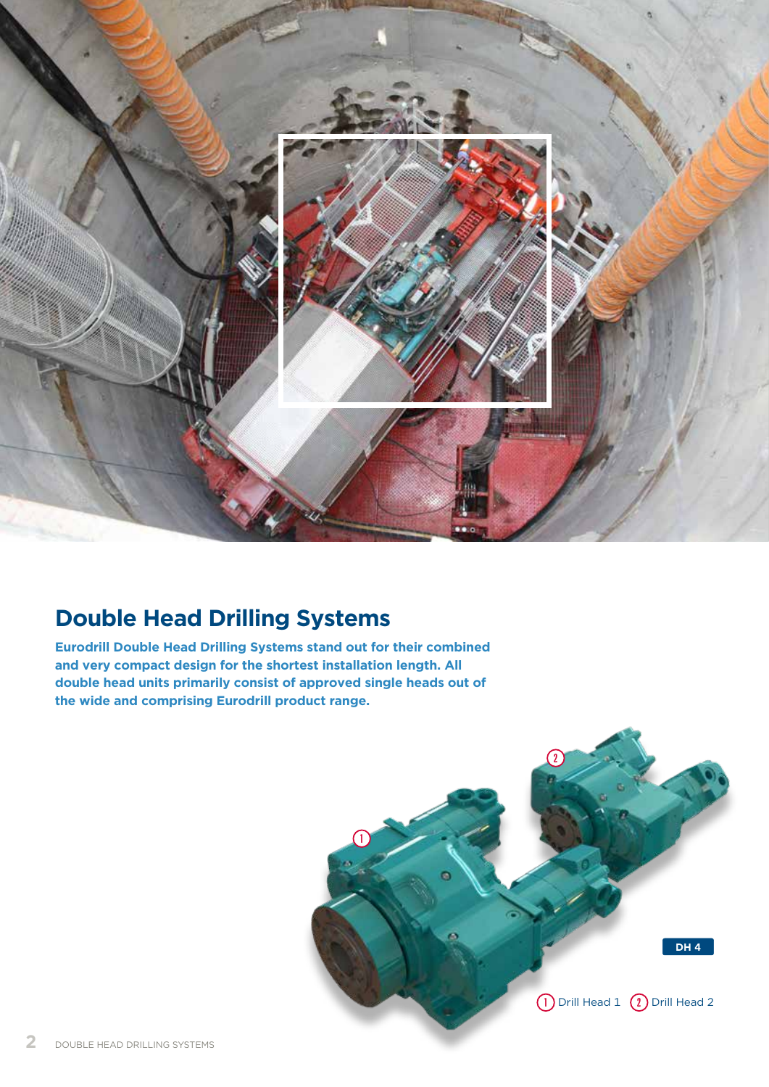

## **Double Head Drilling Systems**

**Eurodrill Double Head Drilling Systems stand out for their combined and very compact design for the shortest installation length. All double head units primarily consist of approved single heads out of the wide and comprising Eurodrill product range.**

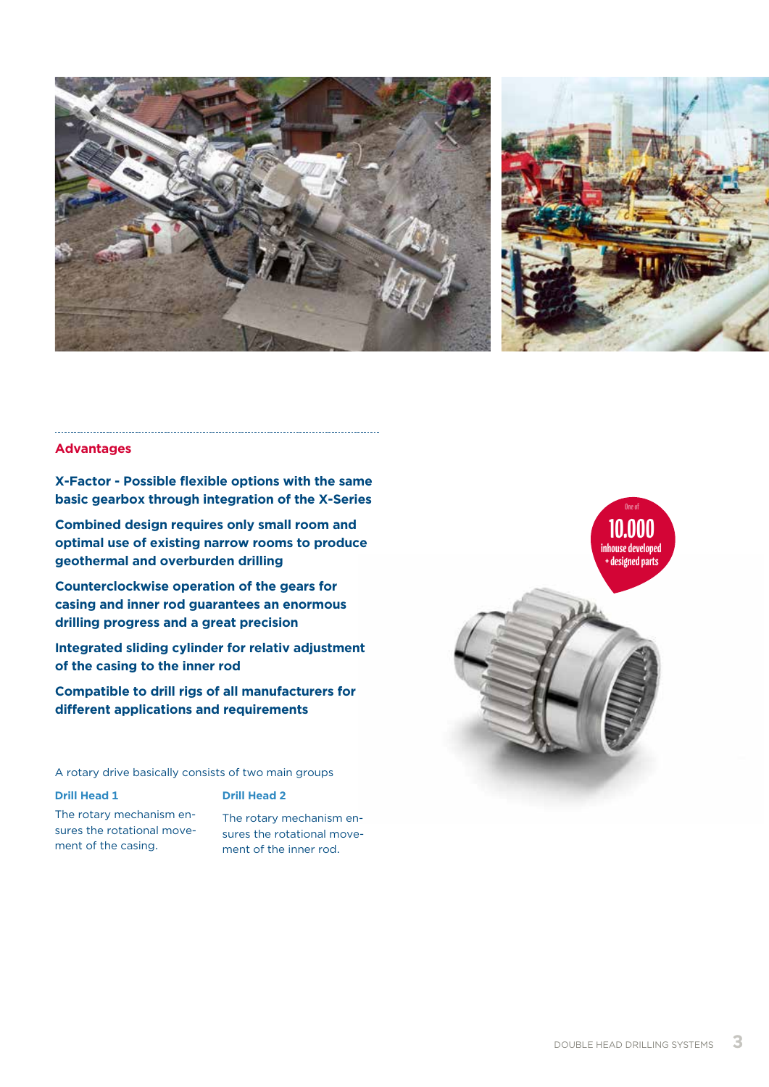



#### **Advantages**

**X-Factor - Possible flexible options with the same basic gearbox through integration of the X-Series**

**Combined design requires only small room and optimal use of existing narrow rooms to produce geothermal and overburden drilling**

**Counterclockwise operation of the gears for casing and inner rod guarantees an enormous drilling progress and a great precision**

**Integrated sliding cylinder for relativ adjustment of the casing to the inner rod**

**Compatible to drill rigs of all manufacturers for different applications and requirements**

A rotary drive basically consists of two main groups

### **Drill Head 1**

**Drill Head 2**

The rotary mechanism ensures the rotational movement of the casing.

The rotary mechanism ensures the rotational movement of the inner rod.

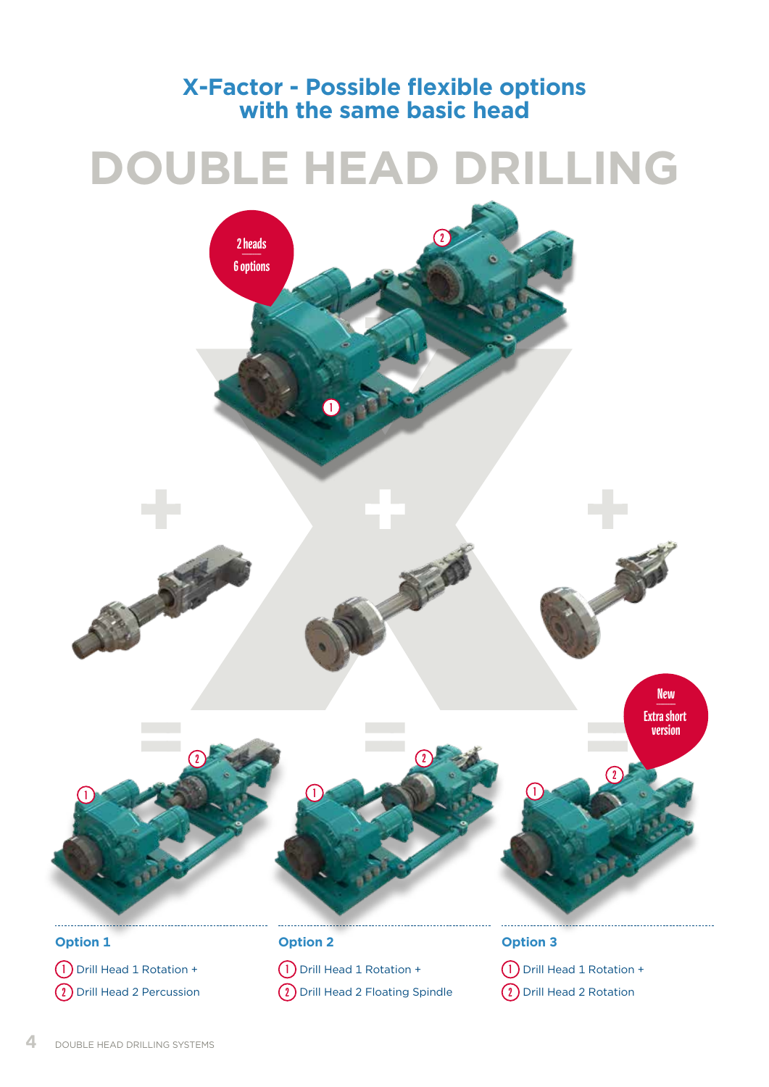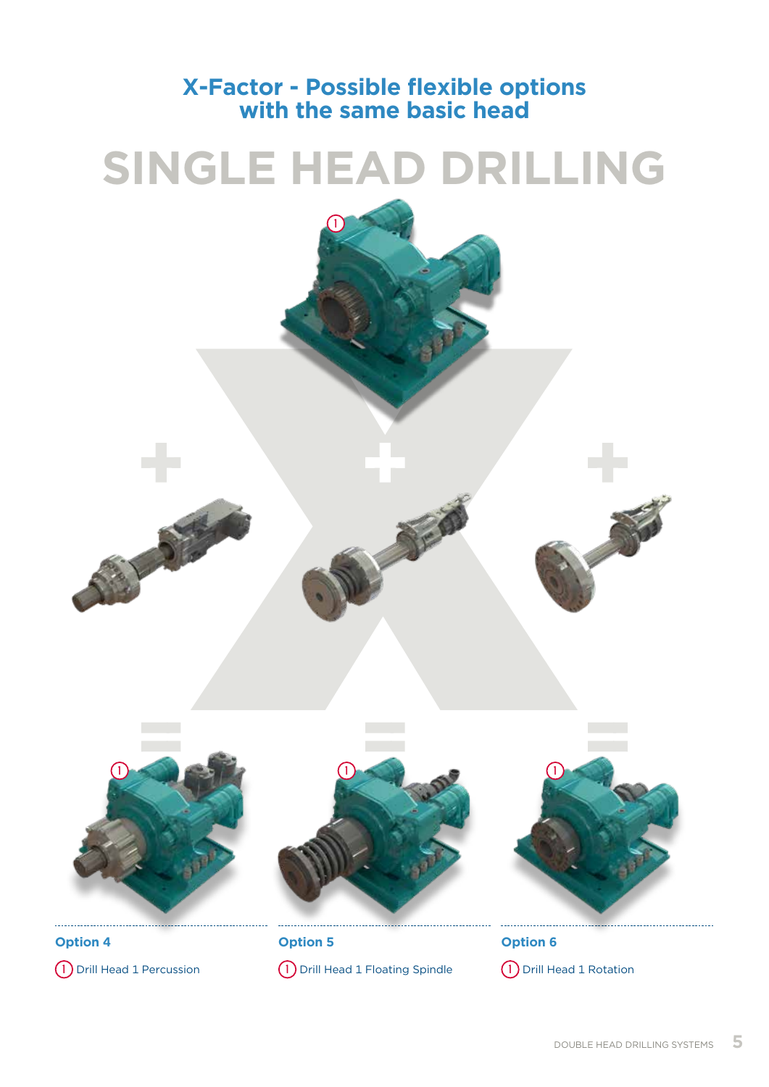# **SINGLE HEAD DRILLING X-Factor - Possible flexible options with the same basic head 1**









**1** Drill Head 1 Rotation

**Option 6**

### **Option 4 1** Drill Head 1 Percussion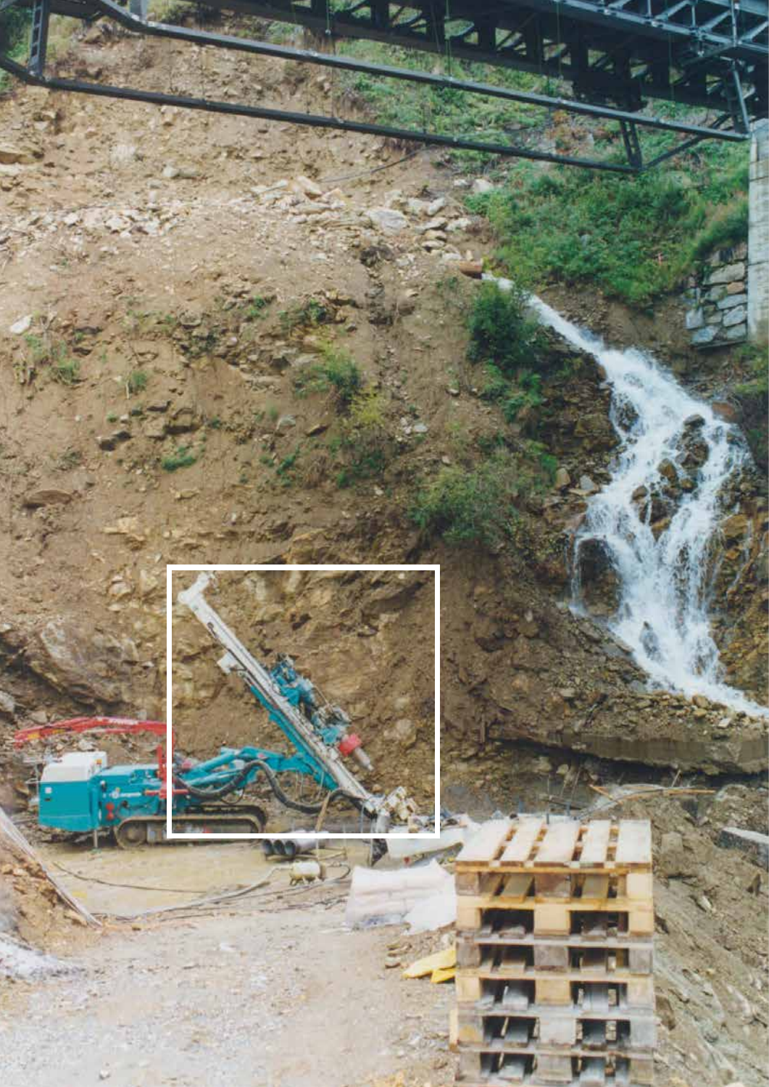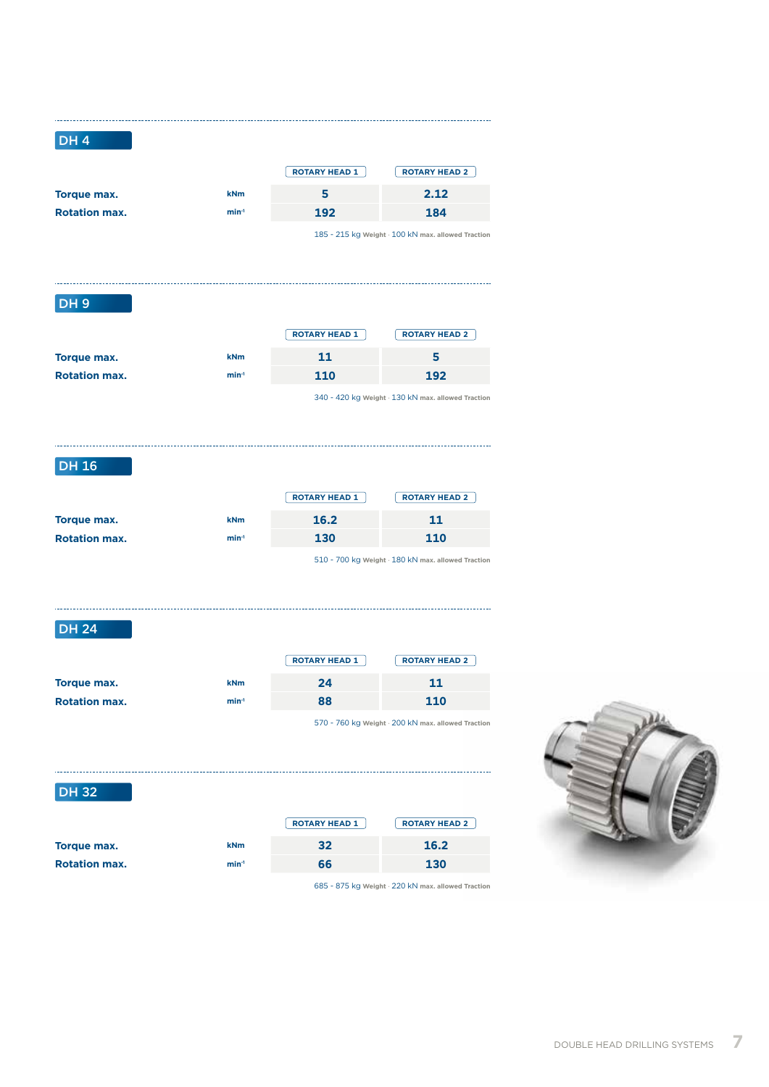| DH <sub>4</sub>      |         |                      |                                                    |
|----------------------|---------|----------------------|----------------------------------------------------|
|                      |         | <b>ROTARY HEAD 1</b> | <b>ROTARY HEAD 2</b>                               |
| Torque max.          | kNm     | 5                    | 2.12                                               |
| <b>Rotation max.</b> | $min-1$ | 192                  | 184                                                |
|                      |         |                      | 185 - 215 kg Weight · 100 kN max. allowed Traction |
| DH9                  |         |                      |                                                    |
|                      |         | <b>ROTARY HEAD 1</b> | <b>ROTARY HEAD 2</b>                               |
| Torque max.          | kNm     | 11                   | 5                                                  |
| <b>Rotation max.</b> | $min-1$ | 110                  | 192                                                |
|                      |         |                      | 340 - 420 kg Weight · 130 kN max. allowed Traction |
| <b>DH 16</b>         |         | <b>ROTARY HEAD 1</b> | <b>ROTARY HEAD 2</b>                               |
| <b>Torque max.</b>   | kNm     | 16.2                 | 11                                                 |
| <b>Rotation max.</b> | $min-1$ | 130                  | 110                                                |
|                      |         |                      | 510 - 700 kg Weight · 180 kN max. allowed Traction |
| <b>DH 24</b>         |         | <b>ROTARY HEAD 1</b> | <b>ROTARY HEAD 2</b>                               |
| Torque max.          | kNm     | 24                   | 11                                                 |
| <b>Rotation max.</b> | $min-1$ | 88                   | 110                                                |
|                      |         |                      | 570 - 760 kg Weight · 200 kN max. allowed Traction |
| <b>DH32</b>          |         | <b>ROTARY HEAD 1</b> | <b>ROTARY HEAD 2</b>                               |
|                      |         |                      |                                                    |

**Torque max. kNm 32 16.2 Rotation max. min-1 66 130**

685 - 875 kg **Weight** · 220 kN **max. allowed Traction**